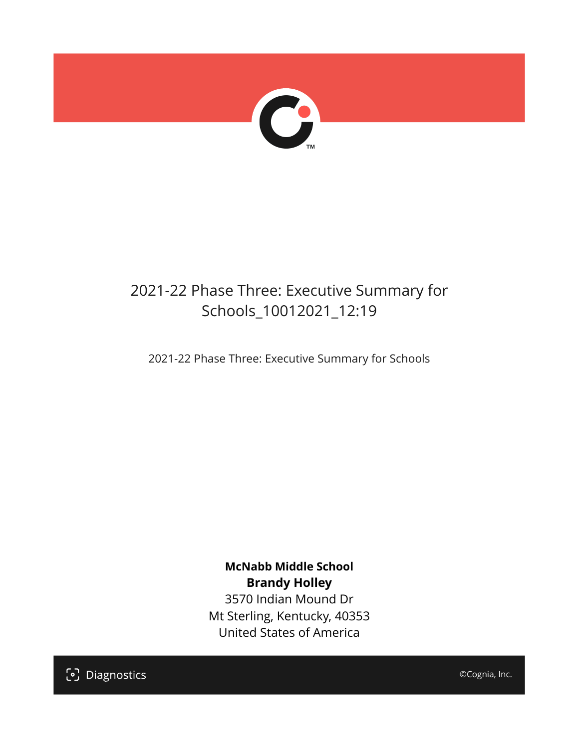

## 2021-22 Phase Three: Executive Summary for Schools\_10012021\_12:19

2021-22 Phase Three: Executive Summary for Schools

**McNabb Middle School Brandy Holley** 3570 Indian Mound Dr Mt Sterling, Kentucky, 40353 United States of America

[၁] Diagnostics

©Cognia, Inc.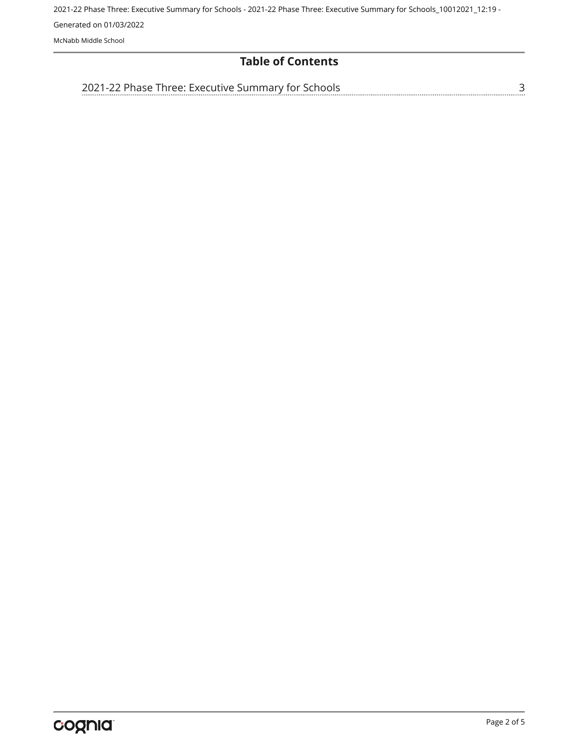#### **Table of Contents**

[3](#page-2-0)

[2021-22 Phase Three: Executive Summary for Schools](#page-2-0)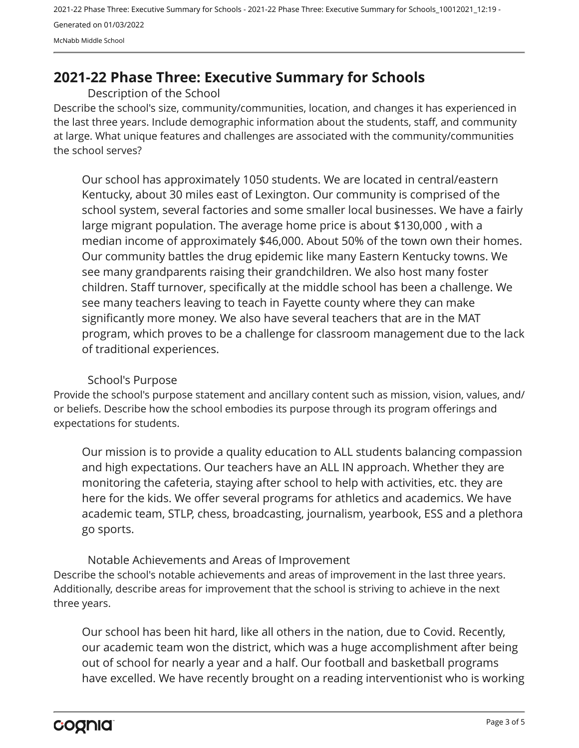### <span id="page-2-0"></span>**2021-22 Phase Three: Executive Summary for Schools**

Description of the School

Describe the school's size, community/communities, location, and changes it has experienced in the last three years. Include demographic information about the students, staff, and community at large. What unique features and challenges are associated with the community/communities the school serves?

Our school has approximately 1050 students. We are located in central/eastern Kentucky, about 30 miles east of Lexington. Our community is comprised of the school system, several factories and some smaller local businesses. We have a fairly large migrant population. The average home price is about \$130,000 , with a median income of approximately \$46,000. About 50% of the town own their homes. Our community battles the drug epidemic like many Eastern Kentucky towns. We see many grandparents raising their grandchildren. We also host many foster children. Staff turnover, specifically at the middle school has been a challenge. We see many teachers leaving to teach in Fayette county where they can make significantly more money. We also have several teachers that are in the MAT program, which proves to be a challenge for classroom management due to the lack of traditional experiences.

#### School's Purpose

Provide the school's purpose statement and ancillary content such as mission, vision, values, and/ or beliefs. Describe how the school embodies its purpose through its program offerings and expectations for students.

Our mission is to provide a quality education to ALL students balancing compassion and high expectations. Our teachers have an ALL IN approach. Whether they are monitoring the cafeteria, staying after school to help with activities, etc. they are here for the kids. We offer several programs for athletics and academics. We have academic team, STLP, chess, broadcasting, journalism, yearbook, ESS and a plethora go sports.

Describe the school's notable achievements and areas of improvement in the last three years. Additionally, describe areas for improvement that the school is striving to achieve in the next three years. Notable Achievements and Areas of Improvement

Our school has been hit hard, like all others in the nation, due to Covid. Recently, our academic team won the district, which was a huge accomplishment after being out of school for nearly a year and a half. Our football and basketball programs have excelled. We have recently brought on a reading interventionist who is working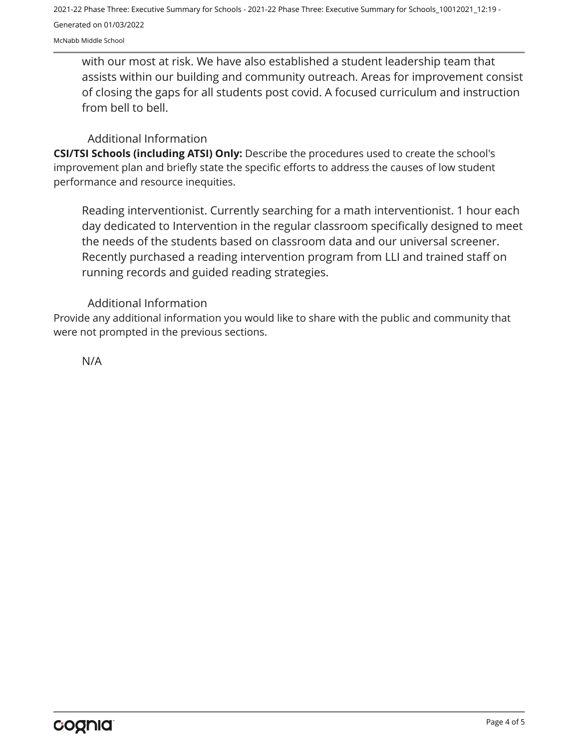with our most at risk. We have also established a student leadership team that assists within our building and community outreach. Areas for improvement consist of closing the gaps for all students post covid. A focused curriculum and instruction from bell to bell.

#### Additional Information

**CSI/TSI Schools (including ATSI) Only:** Describe the procedures used to create the school's improvement plan and briefly state the specific efforts to address the causes of low student performance and resource inequities.

Reading interventionist. Currently searching for a math interventionist. 1 hour each day dedicated to Intervention in the regular classroom specifically designed to meet the needs of the students based on classroom data and our universal screener. Recently purchased a reading intervention program from LLI and trained staff on running records and guided reading strategies.

#### Additional Information

Provide any additional information you would like to share with the public and community that were not prompted in the previous sections.

N/A